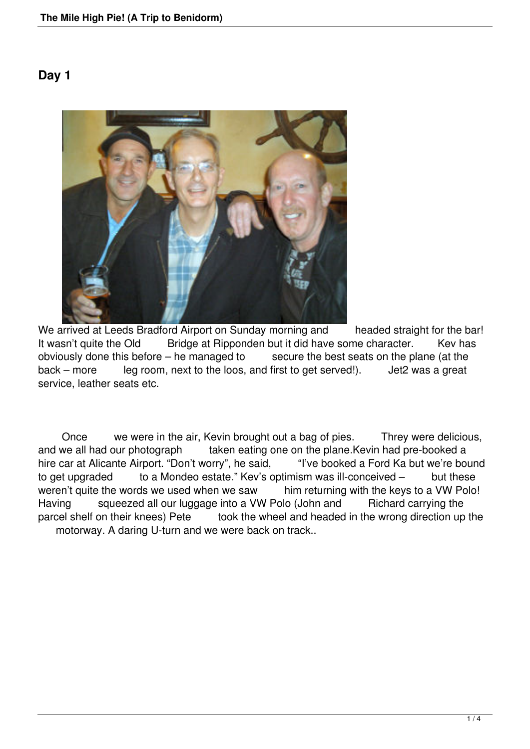## **Day 1**



We arrived at Leeds Bradford Airport on Sunday morning and headed straight for the bar! It wasn't quite the Old Bridge at Ripponden but it did have some character. Kev has obviously done this before – he managed to secure the best seats on the plane (at the secure the best seats on the plane (at the first to get served!). Jet2 was a great  $back - more$  leg room, next to the loos, and first to get served!). service, leather seats etc.

 Once we were in the air, Kevin brought out a bag of pies. Threy were delicious, and we all had our photograph taken eating one on the plane.Kevin had pre-booked a<br>hire car at Alicante Airport. "Don't worry", he said. "I've booked a Ford Ka but we're bound hire car at Alicante Airport. "Don't worry", he said, to get upgraded to a Mondeo estate." Kev's optimism was ill-conceived – but these weren't quite the words we used when we saw him returning with the keys to a VW Polo! Having squeezed all our luggage into a VW Polo (John and Richard carrying the parcel shelf on their knees) Pete took the wheel and headed in the wrong direction up the motorway. A daring U-turn and we were back on track..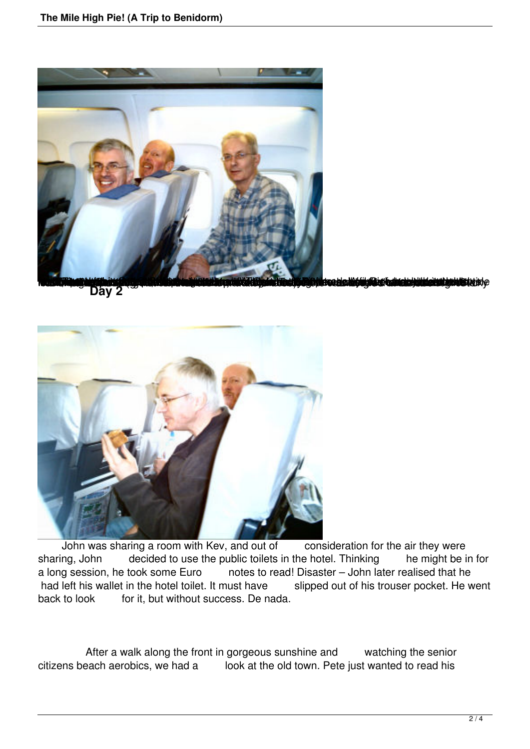



John was sharing a room with Kev, and out of consideration for the air they were sharing, John decided to use the public toilets in the hotel. Thinking he might be in for a long session, he took some Euro notes to read! Disaster – John later realised that he had left his wallet in the hotel toilet. It must have slipped out of his trouser pocket. He went back to look for it, but without success. De nada.

 After a walk along the front in gorgeous sunshine and watching the senior citizens beach aerobics, we had a look at the old town. Pete just wanted to read his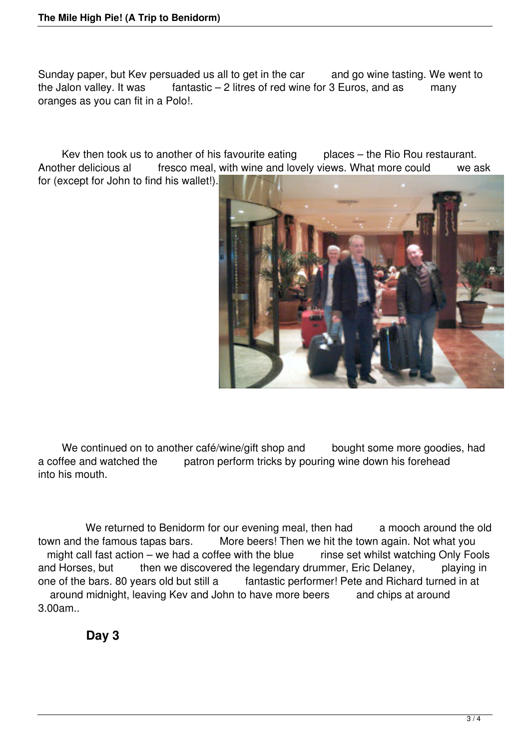Sunday paper, but Kev persuaded us all to get in the car and go wine tasting. We went to the Jalon valley. It was fantastic – 2 litres of red wine for 3 Euros, and as many fantastic – 2 litres of red wine for 3 Euros, and as many oranges as you can fit in a Polo!.

Kev then took us to another of his favourite eating places – the Rio Rou restaurant. Another delicious al fresco meal, with wine and lovely views. What more could we ask for (except for John to find his wallet!).



We continued on to another café/wine/gift shop and bought some more goodies, had a coffee and watched the patron perform tricks by pouring wine down his forehead into his mouth.

We returned to Benidorm for our evening meal, then had a mooch around the old town and the famous tapas bars. More beers! Then we hit the town again. Not what you might call fast action – we had a coffee with the blue rinse set whilst watching Only Fools and Horses, but then we discovered the legendary drummer, Eric Delaney, playing in one of the bars. 80 years old but still a fantastic performer! Pete and Richard turned in at around midnight, leaving Kev and John to have more beers and chips at around 3.00am..

**Day 3**